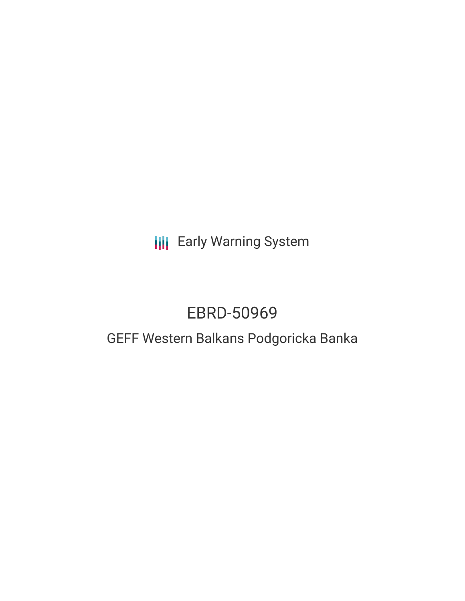**III** Early Warning System

# EBRD-50969

# GEFF Western Balkans Podgoricka Banka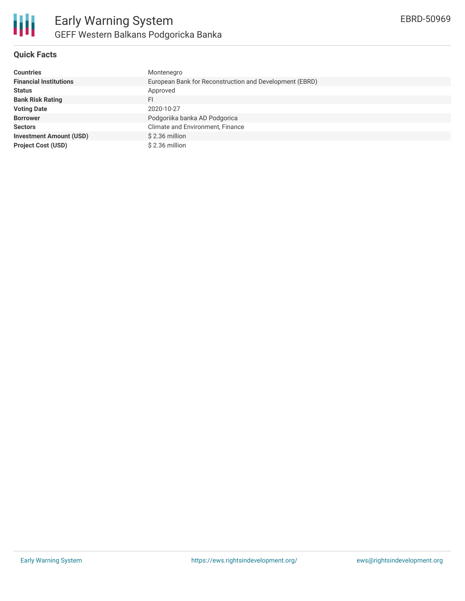

## **Quick Facts**

| <b>Countries</b>               | Montenegro                                              |
|--------------------------------|---------------------------------------------------------|
| <b>Financial Institutions</b>  | European Bank for Reconstruction and Development (EBRD) |
| <b>Status</b>                  | Approved                                                |
| <b>Bank Risk Rating</b>        | FI                                                      |
| <b>Voting Date</b>             | 2020-10-27                                              |
| <b>Borrower</b>                | Podgoriika banka AD Podgorica                           |
| <b>Sectors</b>                 | Climate and Environment, Finance                        |
| <b>Investment Amount (USD)</b> | $$2.36$ million                                         |
| <b>Project Cost (USD)</b>      | \$2.36 million                                          |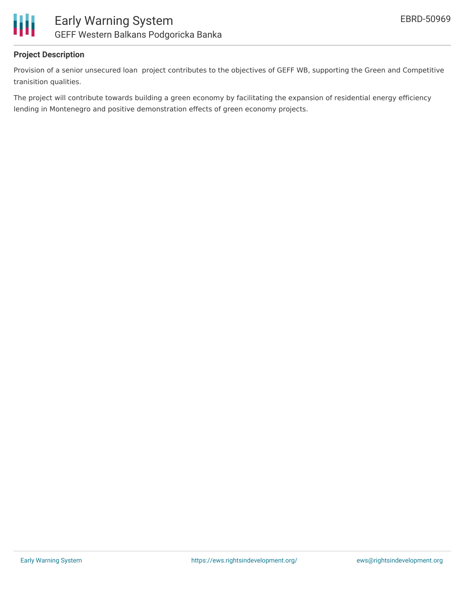

### **Project Description**

Provision of a senior unsecured loan project contributes to the objectives of GEFF WB, supporting the Green and Competitive tranisition qualities.

The project will contribute towards building a green economy by facilitating the expansion of residential energy efficiency lending in Montenegro and positive demonstration effects of green economy projects.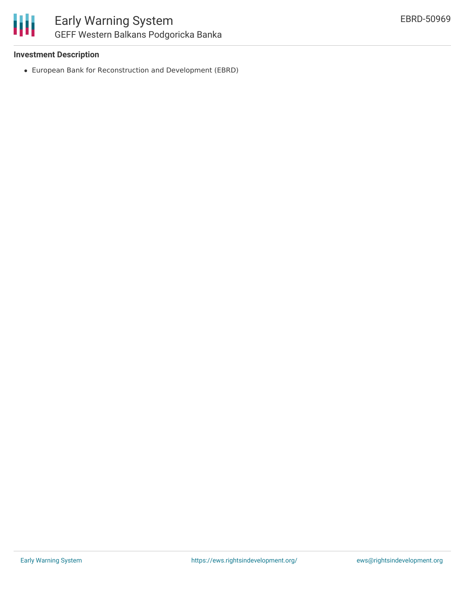

#### **Investment Description**

European Bank for Reconstruction and Development (EBRD)